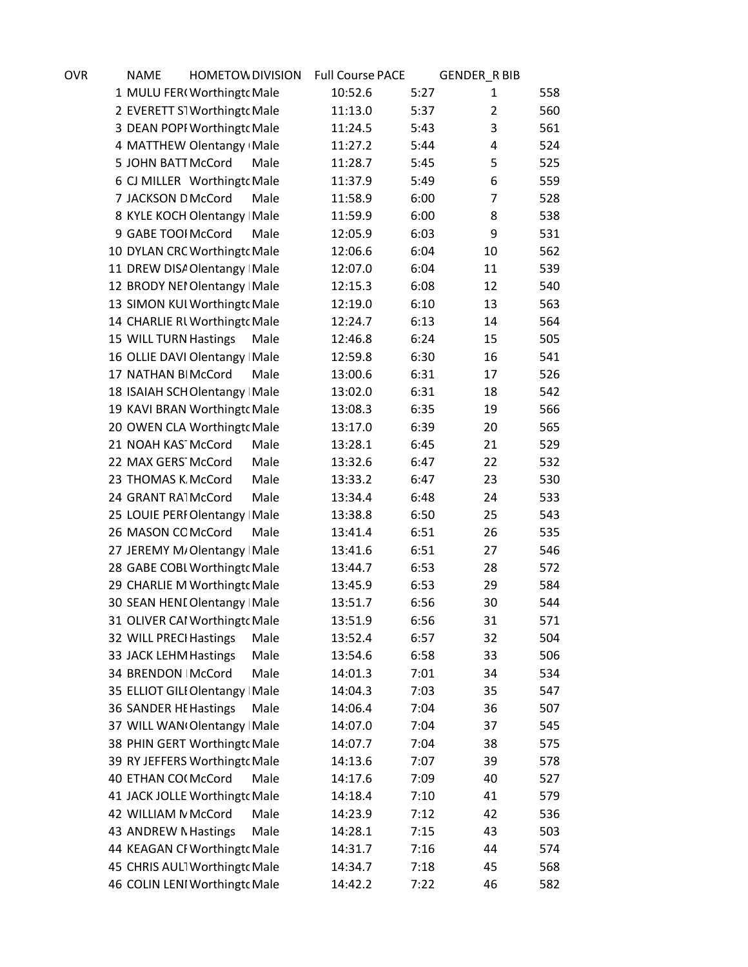| OVR | <b>NAME</b>            | <b>HOMETOW DIVISION</b>         |      | <b>Full Course PACE</b> |      | <b>GENDER_R BIB</b> |     |
|-----|------------------------|---------------------------------|------|-------------------------|------|---------------------|-----|
|     |                        | 1 MULU FER(Worthingt( Male      |      | 10:52.6                 | 5:27 | 1                   | 558 |
|     |                        | 2 EVERETT S1 Worthingto Male    |      | 11:13.0                 | 5:37 | $\overline{2}$      | 560 |
|     |                        | 3 DEAN POPI Worthingto Male     |      | 11:24.5                 | 5:43 | 3                   | 561 |
|     |                        | 4 MATTHEW Olentangy Male        |      | 11:27.2                 | 5:44 | 4                   | 524 |
|     | 5 JOHN BATT McCord     |                                 | Male | 11:28.7                 | 5:45 | 5                   | 525 |
|     |                        | 6 CJ MILLER Worthingto Male     |      | 11:37.9                 | 5:49 | 6                   | 559 |
|     | 7 JACKSON D McCord     |                                 | Male | 11:58.9                 | 6:00 | 7                   | 528 |
|     |                        | 8 KYLE KOCH Olentangy Male      |      | 11:59.9                 | 6:00 | 8                   | 538 |
|     | 9 GABE TOOI McCord     |                                 | Male | 12:05.9                 | 6:03 | 9                   | 531 |
|     |                        | 10 DYLAN CRC Worthingto Male    |      | 12:06.6                 | 6:04 | 10                  | 562 |
|     |                        | 11 DREW DISA Olentangy Male     |      | 12:07.0                 | 6:04 | 11                  | 539 |
|     |                        | 12 BRODY NEI Olentangy Male     |      | 12:15.3                 | 6:08 | 12                  | 540 |
|     |                        | 13 SIMON KUI Worthingt Male     |      | 12:19.0                 | 6:10 | 13                  | 563 |
|     |                        | 14 CHARLIE RI Worthingt Male    |      | 12:24.7                 | 6:13 | 14                  | 564 |
|     | 15 WILL TURN Hastings  |                                 | Male | 12:46.8                 | 6:24 | 15                  | 505 |
|     |                        | 16 OLLIE DAVI Olentangy Male    |      | 12:59.8                 | 6:30 | 16                  | 541 |
|     | 17 NATHAN BIMcCord     |                                 | Male | 13:00.6                 | 6:31 | 17                  | 526 |
|     |                        | 18 ISAIAH SCHOlentangy Male     |      | 13:02.0                 | 6:31 | 18                  | 542 |
|     |                        | 19 KAVI BRAN Worthingto Male    |      | 13:08.3                 | 6:35 | 19                  | 566 |
|     |                        | 20 OWEN CLA Worthingt Male      |      | 13:17.0                 | 6:39 | 20                  | 565 |
|     | 21 NOAH KAS McCord     |                                 | Male | 13:28.1                 | 6:45 | 21                  | 529 |
|     | 22 MAX GERS McCord     |                                 | Male | 13:32.6                 | 6:47 | 22                  | 532 |
|     | 23 THOMAS K McCord     |                                 | Male | 13:33.2                 | 6:47 | 23                  | 530 |
|     | 24 GRANT RA1McCord     |                                 | Male | 13:34.4                 | 6:48 | 24                  | 533 |
|     |                        | 25 LOUIE PERI Olentangy   Male  |      | 13:38.8                 | 6:50 | 25                  | 543 |
|     | 26 MASON COMcCord      |                                 | Male | 13:41.4                 | 6:51 | 26                  | 535 |
|     |                        | 27 JEREMY M/Olentangy Male      |      | 13:41.6                 | 6:51 | 27                  | 546 |
|     |                        | 28 GABE COBL Worthingt cMale    |      | 13:44.7                 | 6:53 | 28                  | 572 |
|     |                        | 29 CHARLIE M Worthingt Male     |      | 13:45.9                 | 6:53 | 29                  | 584 |
|     |                        | 30 SEAN HENL Olentangy   Male   |      | 13:51.7                 | 6:56 | 30                  | 544 |
|     |                        | 31 OLIVER CAI Worthingto Male   |      | 13:51.9                 | 6:56 | 31                  | 571 |
|     | 32 WILL PRECI Hastings |                                 | Male | 13:52.4                 | 6:57 | 32                  | 504 |
|     | 33 JACK LEHM Hastings  |                                 | Male | 13:54.6                 | 6:58 | 33                  | 506 |
|     | 34 BRENDON   McCord    |                                 | Male | 14:01.3                 | 7:01 | 34                  | 534 |
|     |                        | 35 ELLIOT GILI Olentangy   Male |      | 14:04.3                 | 7:03 | 35                  | 547 |
|     | 36 SANDER HE Hastings  |                                 | Male | 14:06.4                 | 7:04 | 36                  | 507 |
|     |                        | 37 WILL WAN Olentangy   Male    |      | 14:07.0                 | 7:04 | 37                  | 545 |
|     |                        | 38 PHIN GERT Worthingto Male    |      | 14:07.7                 | 7:04 | 38                  | 575 |
|     |                        | 39 RY JEFFERS Worthingto Male   |      | 14:13.6                 | 7:07 | 39                  | 578 |
|     | 40 ETHAN CO(McCord     |                                 | Male | 14:17.6                 | 7:09 | 40                  | 527 |
|     |                        | 41 JACK JOLLE Worthingt cMale   |      | 14:18.4                 | 7:10 | 41                  | 579 |
|     | 42 WILLIAM N McCord    |                                 | Male | 14:23.9                 | 7:12 | 42                  | 536 |
|     | 43 ANDREW N Hastings   |                                 | Male | 14:28.1                 | 7:15 | 43                  | 503 |
|     |                        | 44 KEAGAN CI Worthingto Male    |      | 14:31.7                 | 7:16 | 44                  | 574 |
|     |                        | 45 CHRIS AUL1 Worthingt cMale   |      | 14:34.7                 | 7:18 | 45                  | 568 |
|     |                        | 46 COLIN LENI Worthingto Male   |      | 14:42.2                 | 7:22 | 46                  | 582 |